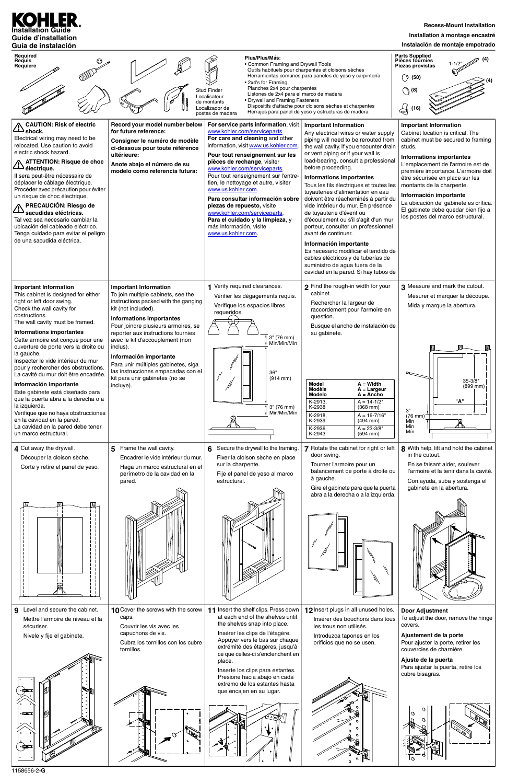

| Required<br>Requis<br>Requiere                                                                                                                                                                                                                                                                                                                                                                                                                                                                                                                                                                                                                                                                |                                                                                                                                                                                                                                                                                                                                                                                                                                                        | Plus/Plus/Más:<br>• Common Framing and Drywall Tools<br>• 2x4's for Framing<br>Planches 2x4 pour charpentes<br><b>Stud Finder</b><br>Listones de 2x4 para el marco de madera<br>Localisateur<br>• Drywall and Framing Fasteners<br>de montants<br>Localizador de<br>postes de madera                                                                                                                                                                                                                                                            | Outils habituels pour charpentes et cloisons sèches<br>Herramientas comunes para paneles de yeso y carpintería<br>Dispositifs d'attache pour cloisons sèches et charpentes<br>Herrajes para panel de yeso y estructuras de madera                                                                                                                                                                                                                                                                                                                                                                                                                                                                                                                                               | <b>Parts Supplied</b><br><b>Pièces fournies</b><br>$1 - 1/2"$<br>Piezas provistas<br><b>(</b> 50)<br>$\bigcirc$ (8)<br>$\leftarrow$<br>(16)                                                                                                                                                                                                                                                                                                     |
|-----------------------------------------------------------------------------------------------------------------------------------------------------------------------------------------------------------------------------------------------------------------------------------------------------------------------------------------------------------------------------------------------------------------------------------------------------------------------------------------------------------------------------------------------------------------------------------------------------------------------------------------------------------------------------------------------|--------------------------------------------------------------------------------------------------------------------------------------------------------------------------------------------------------------------------------------------------------------------------------------------------------------------------------------------------------------------------------------------------------------------------------------------------------|-------------------------------------------------------------------------------------------------------------------------------------------------------------------------------------------------------------------------------------------------------------------------------------------------------------------------------------------------------------------------------------------------------------------------------------------------------------------------------------------------------------------------------------------------|---------------------------------------------------------------------------------------------------------------------------------------------------------------------------------------------------------------------------------------------------------------------------------------------------------------------------------------------------------------------------------------------------------------------------------------------------------------------------------------------------------------------------------------------------------------------------------------------------------------------------------------------------------------------------------------------------------------------------------------------------------------------------------|-------------------------------------------------------------------------------------------------------------------------------------------------------------------------------------------------------------------------------------------------------------------------------------------------------------------------------------------------------------------------------------------------------------------------------------------------|
| CAUTION: Risk of electric<br>shock.<br>Electrical wiring may need to be<br>relocated. Use caution to avoid<br>electric shock hazard.<br><b>ATTENTION: Risque de choc</b><br>électrique.<br>Il sera peut-être nécessaire de<br>déplacer le câblage électrique.<br>Procéder avec précaution pour éviter<br>un risque de choc électrique.<br><b>PRECAUCIÓN: Riesgo de</b><br>Sacudidas eléctricas.<br>Tal vez sea necesario cambiar la<br>ubicación del cableado eléctrico.<br>Tenga cuidado para evitar el peligro<br>de una sacudida eléctrica.                                                                                                                                                | Record your model number below<br>for future reference:<br>Consigner le numéro de modèle<br>ci-dessous pour toute référence<br>ultérieure:<br>Anote abajo el número de su<br>modelo como referencia futura:                                                                                                                                                                                                                                            | For service parts information, visit<br>www.kohler.com/serviceparts.<br>For care and cleaning and other<br>information, visit www.us.kohler.com.<br>Pour tout renseignement sur les<br>pièces de rechange, visiter<br>www.kohler.com/serviceparts.<br>Pour tout renseignement sur l'entre-<br>tien, le nettoyage et autre, visiter<br>www.us.kohler.com.<br>Para consultar información sobre<br>piezas de repuesto, visite<br>www.kohler.com/serviceparts.<br>Para el cuidado y la limpieza, y<br>más información, visite<br>www.us.kohler.com. | <b>Important Information</b><br>Any electrical wires or water supply<br>piping will need to be rerouted from<br>the wall cavity. If you encounter drain<br>or vent piping or if your wall is<br>load-bearing, consult a professional<br>before proceeding.<br><b>Informations importantes</b><br>Tous les fils électriques et toutes les<br>tuyauteries d'alimentation en eau<br>doivent être réacheminés à partir du<br>vide intérieur du mur. En présence<br>de tuyauterie d'évent ou<br>d'écoulement ou s'il s'agit d'un mur<br>porteur, consulter un professionnel<br>avant de continuer.<br>Información importante<br>Es necesario modificar el tendido de<br>cables eléctricos y de tuberías de<br>suministro de agua fuera de la<br>cavidad en la pared. Si hay tubos de | <b>Important Information</b><br>Cabinet location is critical. The<br>cabinet must be secured to framing<br>studs.<br><b>Informations importantes</b><br>L'emplacement de l'armoire est de<br>première importance. L'armoire doit<br>être sécurisée en place sur les<br>montants de la charpente.<br>Información importante<br>La ubicación del gabinete es crítica.<br>El gabinete debe quedar bien fijo a<br>los postes del marco estructural. |
| <b>Important Information</b><br>This cabinet is designed for either<br>right or left door swing.<br>Check the wall cavity for<br>obstructions.<br>The wall cavity must be framed.<br><b>Informations importantes</b><br>Cette armoire est conçue pour une<br>ouverture de porte vers la droite ou<br>la gauche.<br>Inspecter le vide intérieur du mur<br>pour y rechercher des obstructions.<br>La cavité du mur doit être encadrée.<br>Información importante<br>Este gabinete está diseñado para<br>que la puerta abra a la derecha o a<br>la izquierda.<br>Verifique que no haya obstrucciones<br>en la cavidad en la pared.<br>La cavidad en la pared debe tener<br>un marco estructural. | <b>Important Information</b><br>To join multiple cabinets, see the<br>instructions packed with the ganging<br>kit (not included).<br><b>Informations importantes</b><br>Pour joindre plusieurs armoires, se<br>reporter aux instructions fournies<br>avec le kit d'accouplement (non<br>inclus).<br>Información importante<br>Para unir múltiples gabinetes, siga<br>las instrucciones empacadas con el<br>kit para unir gabinetes (no se<br>incluye). | 1 Verify required clearances.<br>Vérifier les dégagements requis.<br>Verifique los espacios libres<br>requeridos.<br>3" (76 mm)<br>_ Min/Min/Mín<br>36"<br>$(914$ mm)<br>3" (76 mm)<br>Min/Min/Mín                                                                                                                                                                                                                                                                                                                                              | 2 Find the rough-in width for your<br>cabinet.<br>Rechercher la largeur de<br>raccordement pour l'armoire en<br>question.<br>Busque el ancho de instalación de<br>su gabinete.<br>$A = Width$<br><b>Model</b><br><b>Modèle</b><br>$A = Larger$<br>$A = Ancho$<br><b>Modelo</b><br>K-2913,<br>$A = 14 - 1/2"$<br>K-2938<br>$(368 \, \text{mm})$<br>K-2918,<br>$A = 19 - 7/16"$<br>K-2939<br>(494 mm)<br>K-2936,<br>$A = 23-3/8"$<br>K-2943<br>(594 mm)                                                                                                                                                                                                                                                                                                                           | 3 Measure and mark the cutout.<br>Mesurer et marquer la découpe.<br>Mida y marque la abertura.<br>$35 - 3/8"$<br>$(899$ mm)<br>"A"<br>З"<br>(76 mm)<br>Min<br>Min<br>Mín                                                                                                                                                                                                                                                                        |
| 4 Cut away the drywall.<br>Découper la cloison sèche.<br>Corte y retire el panel de yeso.                                                                                                                                                                                                                                                                                                                                                                                                                                                                                                                                                                                                     | 5<br>Frame the wall cavity.<br>Encadrer le vide intérieur du mur.<br>Haga un marco estructural en el<br>perímetro de la cavidad en la<br>pared.                                                                                                                                                                                                                                                                                                        | Secure the drywall to the framing.<br>6<br>Fixer la cloison sèche en place<br>sur la charpente.<br>Fije el panel de yeso al marco<br>estructural.                                                                                                                                                                                                                                                                                                                                                                                               | 7 Rotate the cabinet for right or left<br>door swing.<br>Tourner l'armoire pour un<br>balancement de porte à droite ou<br>à gauche.<br>Gire el gabinete para que la puerta<br>abra a la derecha o a la izquierda.                                                                                                                                                                                                                                                                                                                                                                                                                                                                                                                                                               | 8 With help, lift and hold the cabinet<br>in the cutout.<br>En se faisant aider, soulever<br>l'armoire et la tenir dans la cavité.<br>Con ayuda, suba y sostenga el<br>gabinete en la abertura.                                                                                                                                                                                                                                                 |